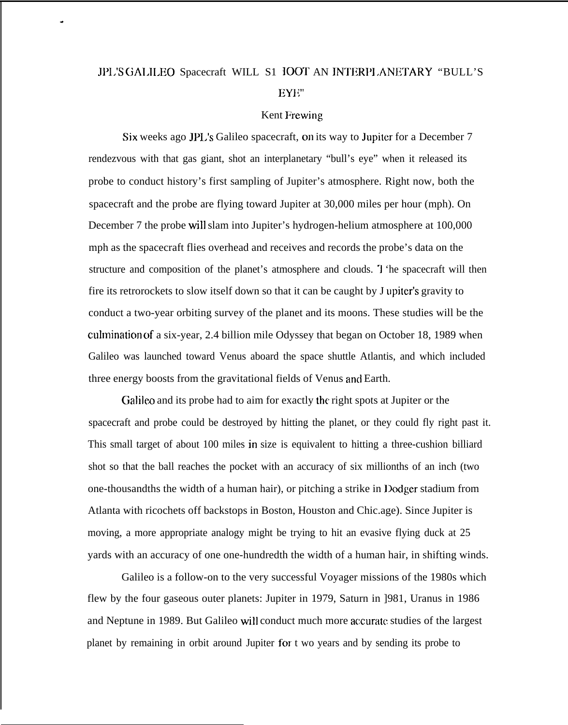## JP1.'S GAI.ILEO Spacecraft WILL S1 IOOT AN JNTERI'I .ANETARY "BULL'S EYE"

.

## Kent Frewjng

Six weeks ago JPL's Galileo spacecraft, on its way to Jupiter for a December 7 rendezvous with that gas giant, shot an interplanetary "bull's eye" when it released its probe to conduct history's first sampling of Jupiter's atmosphere. Right now, both the spacecraft and the probe are flying toward Jupiter at 30,000 miles per hour (mph). On December 7 the probe will slam into Jupiter's hydrogen-helium atmosphere at 100,000 mph as the spacecraft flies overhead and receives and records the probe's data on the structure and composition of the planet's atmosphere and clouds. I 'he spacecraft will then fire its retrorockets to slow itself down so that it can be caught by J upiter's gravity to conduct a two-year orbiting survey of the planet and its moons. These studies will be the culmination of a six-year, 2.4 billion mile Odyssey that began on October 18, 1989 when Galileo was launched toward Venus aboard the space shuttle Atlantis, and which included three energy boosts from the gravitational fields of Venus and Earth.

Galileo and its probe had to aim for exactly the right spots at Jupiter or the spacecraft and probe could be destroyed by hitting the planet, or they could fly right past it. This small target of about 100 miles in size is equivalent to hitting a three-cushion billiard shot so that the ball reaches the pocket with an accuracy of six millionths of an inch (two one-thousandths the width of a human hair), or pitching a strike in Dodger stadium from Atlanta with ricochets off backstops in Boston, Houston and Chic.age). Since Jupiter is moving, a more appropriate analogy might be trying to hit an evasive flying duck at 25 yards with an accuracy of one one-hundredth the width of a human hair, in shifting winds.

Galileo is a follow-on to the very successful Voyager missions of the 1980s which flew by the four gaseous outer planets: Jupiter in 1979, Saturn in ]981, Uranus in 1986 and Neptune in 1989. But Galileo will conduct much more accurate studies of the largest planet by remaining in orbit around Jupiter for t wo years and by sending its probe to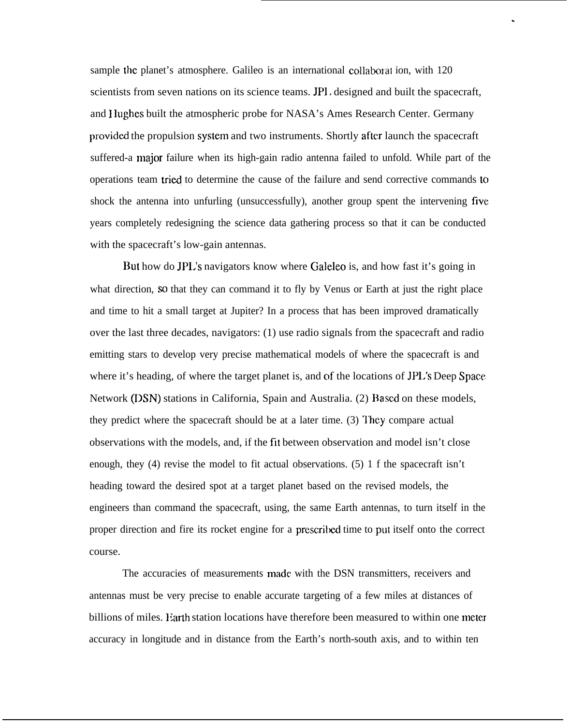sample the planet's atmosphere. Galileo is an international collaborat ion, with 120 scientists from seven nations on its science teams. JPI. designed and built the spacecraft, and Hughes built the atmospheric probe for NASA's Ames Research Center. Germany provided the propulsion system and two instruments. Shortly after launch the spacecraft suffered-a major failure when its high-gain radio antenna failed to unfold. While part of the operations team tried to determine the cause of the failure and send corrective commands to shock the antenna into unfurling (unsuccessfully), another group spent the intervening five years completely redesigning the science data gathering process so that it can be conducted with the spacecraft's low-gain antennas.

.

But how do JPL's navigators know where Galeleo is, and how fast it's going in what direction, so that they can command it to fly by Venus or Earth at just the right place and time to hit a small target at Jupiter? In a process that has been improved dramatically over the last three decades, navigators: (1) use radio signals from the spacecraft and radio emitting stars to develop very precise mathematical models of where the spacecraft is and where it's heading, of where the target planet is, and of the locations of JPL's Deep Space. Network (DSN) stations in California, Spain and Australia. (2) Based on these models, they predict where the spacecraft should be at a later time. (3) They compare actual observations with the models, and, if the fit between observation and model isn't close enough, they (4) revise the model to fit actual observations. (5) 1 f the spacecraft isn't heading toward the desired spot at a target planet based on the revised models, the engineers than command the spacecraft, using, the same Earth antennas, to turn itself in the proper direction and fire its rocket engine for a prescrilwd time to put itself onto the correct course.

The accuracies of measurements made. with the DSN transmitters, receivers and antennas must be very precise to enable accurate targeting of a few miles at distances of billions of miles. Earth station locations have therefore been measured to within one meter accuracy in longitude and in distance from the Earth's north-south axis, and to within ten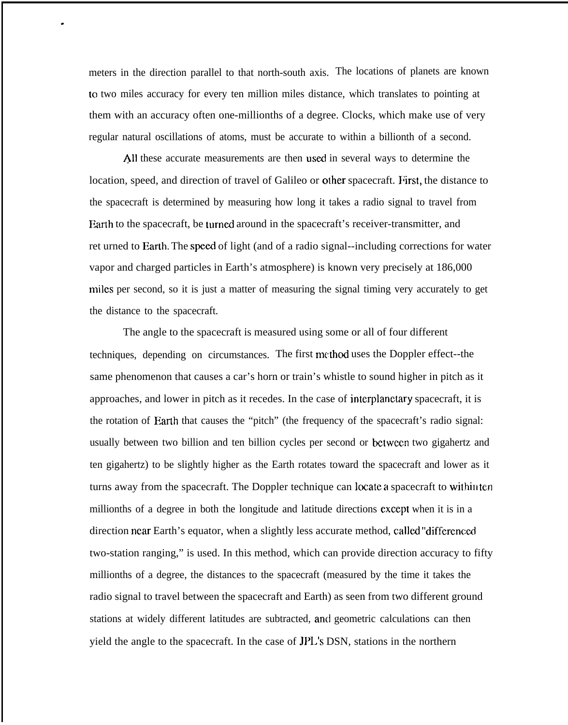meters in the direction parallel to that north-south axis. The locations of planets are known to two miles accuracy for every ten million miles distance, which translates to pointing at them with an accuracy often one-millionths of a degree. Clocks, which make use of very regular natural oscillations of atoms, must be accurate to within a billionth of a second.

.

All these accurate measurements are then used in several ways to determine the location, speed, and direction of travel of Galileo or other spacecraft. First, the distance to the spacecraft is determined by measuring how long it takes a radio signal to travel from Earth to the spacecraft, be turned around in the spacecraft's receiver-transmitter, and ret urned to Earth. The speed of light (and of a radio signal--including corrections for water vapor and charged particles in Earth's atmosphere) is known very precisely at 186,000 miles per second, so it is just a matter of measuring the signal timing very accurately to get the distance to the spacecraft.

The angle to the spacecraft is measured using some or all of four different techniques, depending on circumstances. The first method uses the Doppler effect--the same phenomenon that causes a car's horn or train's whistle to sound higher in pitch as it approaches, and lower in pitch as it recedes. In the case of interplanetary spacecraft, it is the rotation of Earth that causes the "pitch" (the frequency of the spacecraft's radio signal: usually between two billion and ten billion cycles per second or bctwccn two gigahertz and ten gigahertz) to be slightly higher as the Earth rotates toward the spacecraft and lower as it turns away from the spacecraft. The Doppler technique can locate a spacecraft to within ten millionths of a degree in both the longitude and latitude directions except when it is in a direction near Earth's equator, when a slightly less accurate method, called "differenced" two-station ranging," is used. In this method, which can provide direction accuracy to fifty millionths of a degree, the distances to the spacecraft (measured by the time it takes the radio signal to travel between the spacecraft and Earth) as seen from two different ground stations at widely different latitudes are subtracted, and geometric calculations can then yield the angle to the spacecraft. In the case of JPL's DSN, stations in the northern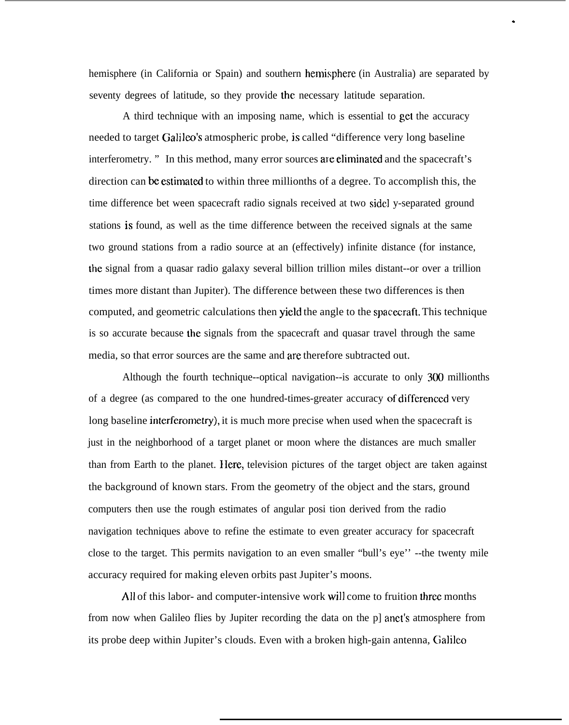hemisphere (in California or Spain) and southern hemisphere (in Australia) are separated by seventy degrees of latitude, so they provide the necessary latitude separation.

.

A third technique with an imposing name, which is essential to get the accuracy needed to target Galileo's atmospheric probe, is called "difference very long baseline" interferometry. " In this method, many error sources are eliminated and the spacecraft's direction can be estimated to within three millionths of a degree. To accomplish this, the time difference bet ween spacecraft radio signals received at two sidel y-separated ground stations is found, as well as the time difference between the received signals at the same two ground stations from a radio source at an (effectively) infinite distance (for instance, the signal from a quasar radio galaxy several billion trillion miles distant--or over a trillion times more distant than Jupiter). The difference between these two differences is then computed, and geometric calculations then yield the angle to the spacecraft. This technique is so accurate because the signals from the spacecraft and quasar travel through the same media, so that error sources are the same and are therefore subtracted out.

Although the fourth technique--optical navigation--is accurate to only 300 millionths of a degree (as compared to the one hundred-times-greater accuracy of differenccd very long baseline interferometry), it is much more precise when used when the spacecraft is just in the neighborhood of a target planet or moon where the distances are much smaller than from Earth to the planet. Ilere, television pictures of the target object are taken against the background of known stars. From the geometry of the object and the stars, ground computers then use the rough estimates of angular posi tion derived from the radio navigation techniques above to refine the estimate to even greater accuracy for spacecraft close to the target. This permits navigation to an even smaller "bull's eye'' --the twenty mile accuracy required for making eleven orbits past Jupiter's moons.

All of this labor- and computer-intensive work will come to fruition three months from now when Galileo flies by Jupiter recording the data on the p] anct's atmosphere from its probe deep within Jupiter's clouds. Even with a broken high-gain antenna, Galileo